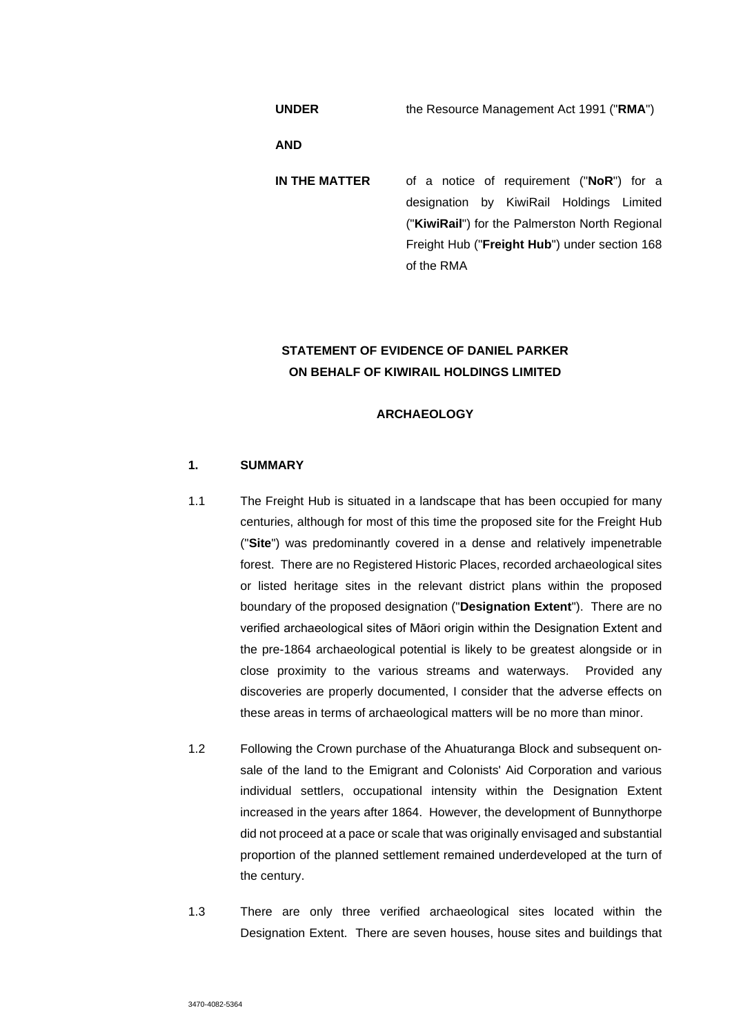**UNDER** the Resource Management Act 1991 ("**RMA**")

**AND** 

**IN THE MATTER** of a notice of requirement ("**NoR**") for a designation by KiwiRail Holdings Limited ("**KiwiRail**") for the Palmerston North Regional Freight Hub ("**Freight Hub**") under section 168 of the RMA

# **STATEMENT OF EVIDENCE OF DANIEL PARKER ON BEHALF OF KIWIRAIL HOLDINGS LIMITED**

# **ARCHAEOLOGY**

# **1. SUMMARY**

- 1.1 The Freight Hub is situated in a landscape that has been occupied for many centuries, although for most of this time the proposed site for the Freight Hub ("**Site**") was predominantly covered in a dense and relatively impenetrable forest. There are no Registered Historic Places, recorded archaeological sites or listed heritage sites in the relevant district plans within the proposed boundary of the proposed designation ("**Designation Extent**"). There are no verified archaeological sites of Māori origin within the Designation Extent and the pre-1864 archaeological potential is likely to be greatest alongside or in close proximity to the various streams and waterways. Provided any discoveries are properly documented, I consider that the adverse effects on these areas in terms of archaeological matters will be no more than minor.
- 1.2 Following the Crown purchase of the Ahuaturanga Block and subsequent onsale of the land to the Emigrant and Colonists' Aid Corporation and various individual settlers, occupational intensity within the Designation Extent increased in the years after 1864. However, the development of Bunnythorpe did not proceed at a pace or scale that was originally envisaged and substantial proportion of the planned settlement remained underdeveloped at the turn of the century.
- 1.3 There are only three verified archaeological sites located within the Designation Extent. There are seven houses, house sites and buildings that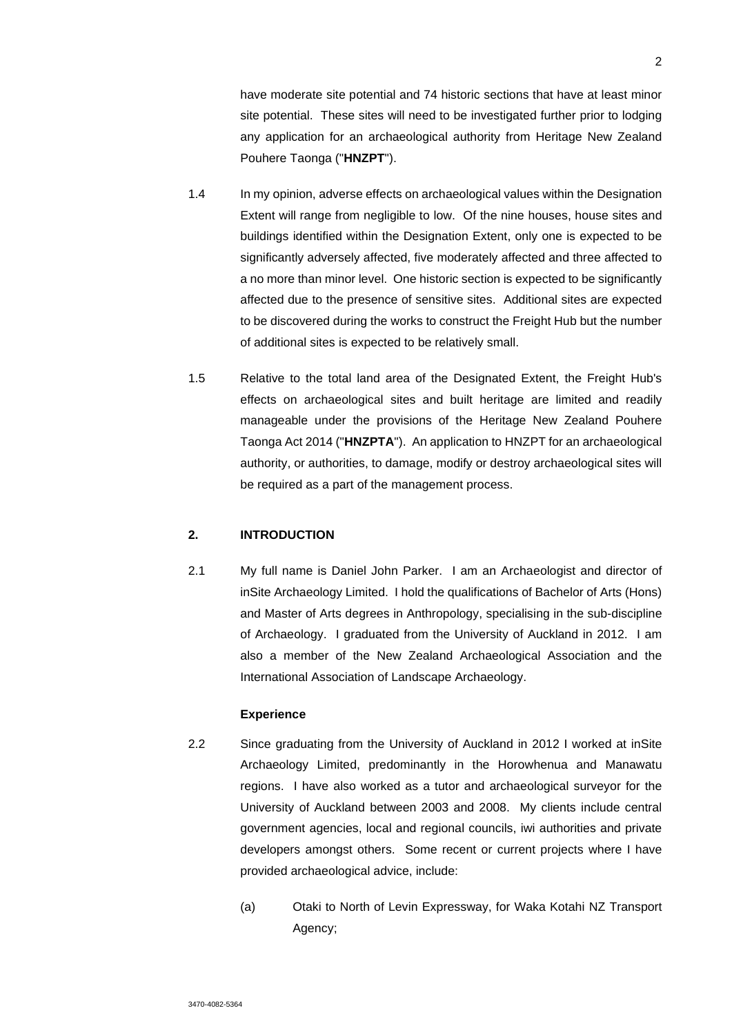have moderate site potential and 74 historic sections that have at least minor site potential. These sites will need to be investigated further prior to lodging any application for an archaeological authority from Heritage New Zealand Pouhere Taonga ("**HNZPT**").

- 1.4 In my opinion, adverse effects on archaeological values within the Designation Extent will range from negligible to low. Of the nine houses, house sites and buildings identified within the Designation Extent, only one is expected to be significantly adversely affected, five moderately affected and three affected to a no more than minor level. One historic section is expected to be significantly affected due to the presence of sensitive sites. Additional sites are expected to be discovered during the works to construct the Freight Hub but the number of additional sites is expected to be relatively small.
- 1.5 Relative to the total land area of the Designated Extent, the Freight Hub's effects on archaeological sites and built heritage are limited and readily manageable under the provisions of the Heritage New Zealand Pouhere Taonga Act 2014 ("**HNZPTA**"). An application to HNZPT for an archaeological authority, or authorities, to damage, modify or destroy archaeological sites will be required as a part of the management process.

### **2. INTRODUCTION**

2.1 My full name is Daniel John Parker. I am an Archaeologist and director of inSite Archaeology Limited. I hold the qualifications of Bachelor of Arts (Hons) and Master of Arts degrees in Anthropology, specialising in the sub-discipline of Archaeology. I graduated from the University of Auckland in 2012. I am also a member of the New Zealand Archaeological Association and the International Association of Landscape Archaeology.

#### **Experience**

- 2.2 Since graduating from the University of Auckland in 2012 I worked at inSite Archaeology Limited, predominantly in the Horowhenua and Manawatu regions. I have also worked as a tutor and archaeological surveyor for the University of Auckland between 2003 and 2008. My clients include central government agencies, local and regional councils, iwi authorities and private developers amongst others. Some recent or current projects where I have provided archaeological advice, include:
	- (a) Otaki to North of Levin Expressway, for Waka Kotahi NZ Transport Agency;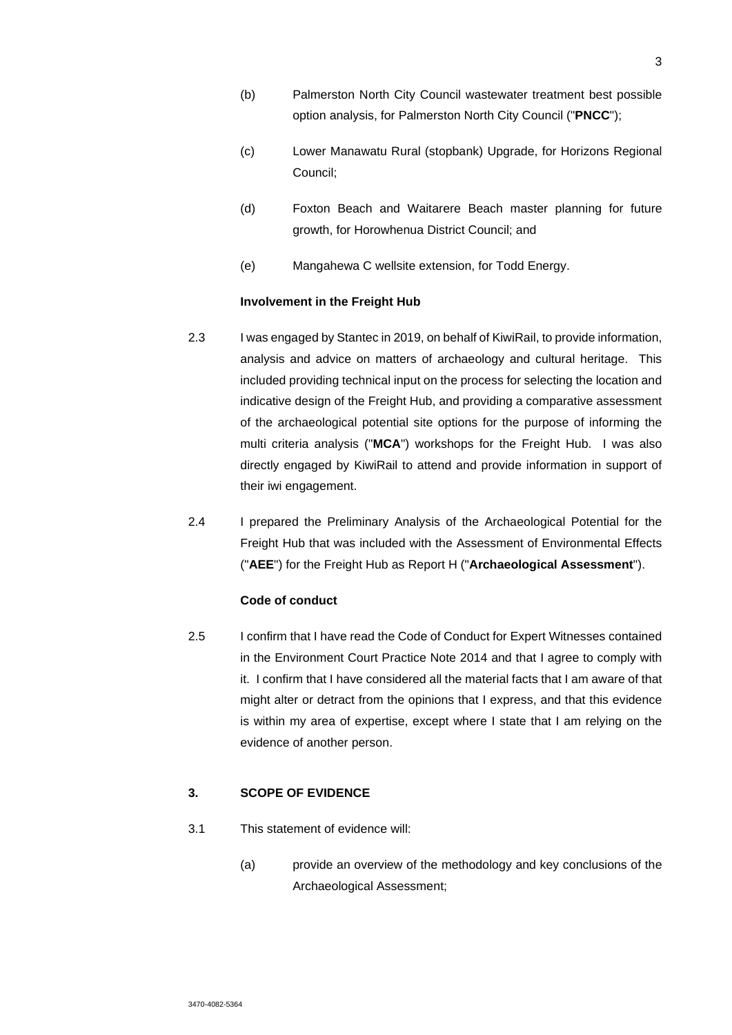- (b) Palmerston North City Council wastewater treatment best possible option analysis, for Palmerston North City Council ("**PNCC**");
- (c) Lower Manawatu Rural (stopbank) Upgrade, for Horizons Regional Council;
- (d) Foxton Beach and Waitarere Beach master planning for future growth, for Horowhenua District Council; and
- (e) Mangahewa C wellsite extension, for Todd Energy.

# **Involvement in the Freight Hub**

- 2.3 I was engaged by Stantec in 2019, on behalf of KiwiRail, to provide information, analysis and advice on matters of archaeology and cultural heritage. This included providing technical input on the process for selecting the location and indicative design of the Freight Hub, and providing a comparative assessment of the archaeological potential site options for the purpose of informing the multi criteria analysis ("**MCA**") workshops for the Freight Hub. I was also directly engaged by KiwiRail to attend and provide information in support of their iwi engagement.
- 2.4 I prepared the Preliminary Analysis of the Archaeological Potential for the Freight Hub that was included with the Assessment of Environmental Effects ("**AEE**") for the Freight Hub as Report H ("**Archaeological Assessment**").

# **Code of conduct**

2.5 I confirm that I have read the Code of Conduct for Expert Witnesses contained in the Environment Court Practice Note 2014 and that I agree to comply with it. I confirm that I have considered all the material facts that I am aware of that might alter or detract from the opinions that I express, and that this evidence is within my area of expertise, except where I state that I am relying on the evidence of another person.

# **3. SCOPE OF EVIDENCE**

- 3.1 This statement of evidence will:
	- (a) provide an overview of the methodology and key conclusions of the Archaeological Assessment;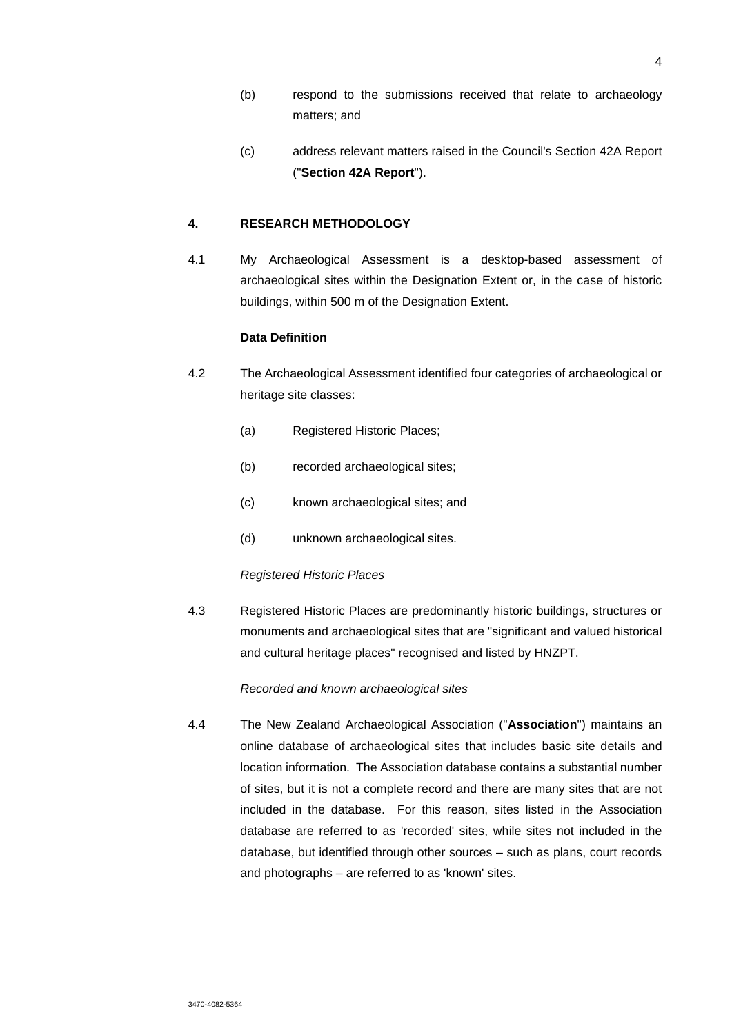- (b) respond to the submissions received that relate to archaeology matters; and
- (c) address relevant matters raised in the Council's Section 42A Report ("**Section 42A Report**").

# **4. RESEARCH METHODOLOGY**

4.1 My Archaeological Assessment is a desktop-based assessment of archaeological sites within the Designation Extent or, in the case of historic buildings, within 500 m of the Designation Extent.

### **Data Definition**

- 4.2 The Archaeological Assessment identified four categories of archaeological or heritage site classes:
	- (a) Registered Historic Places;
	- (b) recorded archaeological sites;
	- (c) known archaeological sites; and
	- (d) unknown archaeological sites.

#### *Registered Historic Places*

4.3 Registered Historic Places are predominantly historic buildings, structures or monuments and archaeological sites that are "significant and valued historical and cultural heritage places" recognised and listed by HNZPT.

#### *Recorded and known archaeological sites*

4.4 The New Zealand Archaeological Association ("**Association**") maintains an online database of archaeological sites that includes basic site details and location information. The Association database contains a substantial number of sites, but it is not a complete record and there are many sites that are not included in the database. For this reason, sites listed in the Association database are referred to as 'recorded' sites, while sites not included in the database, but identified through other sources – such as plans, court records and photographs – are referred to as 'known' sites.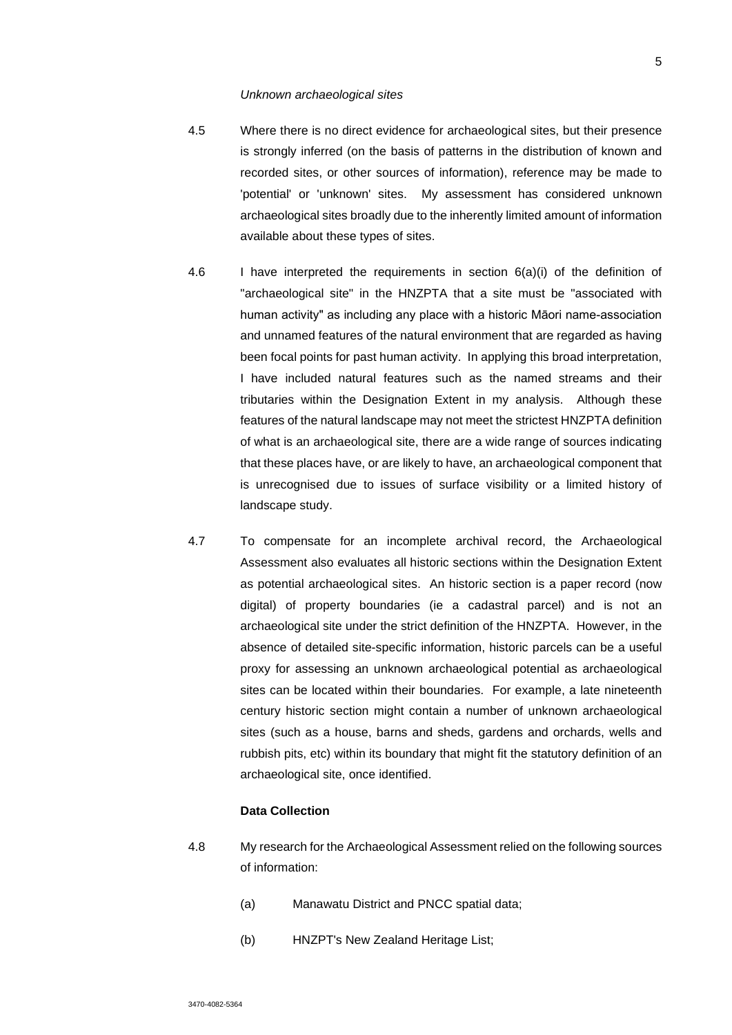#### *Unknown archaeological sites*

- 4.5 Where there is no direct evidence for archaeological sites, but their presence is strongly inferred (on the basis of patterns in the distribution of known and recorded sites, or other sources of information), reference may be made to 'potential' or 'unknown' sites. My assessment has considered unknown archaeological sites broadly due to the inherently limited amount of information available about these types of sites.
- 4.6 I have interpreted the requirements in section 6(a)(i) of the definition of "archaeological site" in the HNZPTA that a site must be "associated with human activity" as including any place with a historic Māori name-association and unnamed features of the natural environment that are regarded as having been focal points for past human activity. In applying this broad interpretation, I have included natural features such as the named streams and their tributaries within the Designation Extent in my analysis. Although these features of the natural landscape may not meet the strictest HNZPTA definition of what is an archaeological site, there are a wide range of sources indicating that these places have, or are likely to have, an archaeological component that is unrecognised due to issues of surface visibility or a limited history of landscape study.
- 4.7 To compensate for an incomplete archival record, the Archaeological Assessment also evaluates all historic sections within the Designation Extent as potential archaeological sites. An historic section is a paper record (now digital) of property boundaries (ie a cadastral parcel) and is not an archaeological site under the strict definition of the HNZPTA. However, in the absence of detailed site-specific information, historic parcels can be a useful proxy for assessing an unknown archaeological potential as archaeological sites can be located within their boundaries. For example, a late nineteenth century historic section might contain a number of unknown archaeological sites (such as a house, barns and sheds, gardens and orchards, wells and rubbish pits, etc) within its boundary that might fit the statutory definition of an archaeological site, once identified.

#### **Data Collection**

- 4.8 My research for the Archaeological Assessment relied on the following sources of information:
	- (a) Manawatu District and PNCC spatial data;
	- (b) HNZPT's New Zealand Heritage List;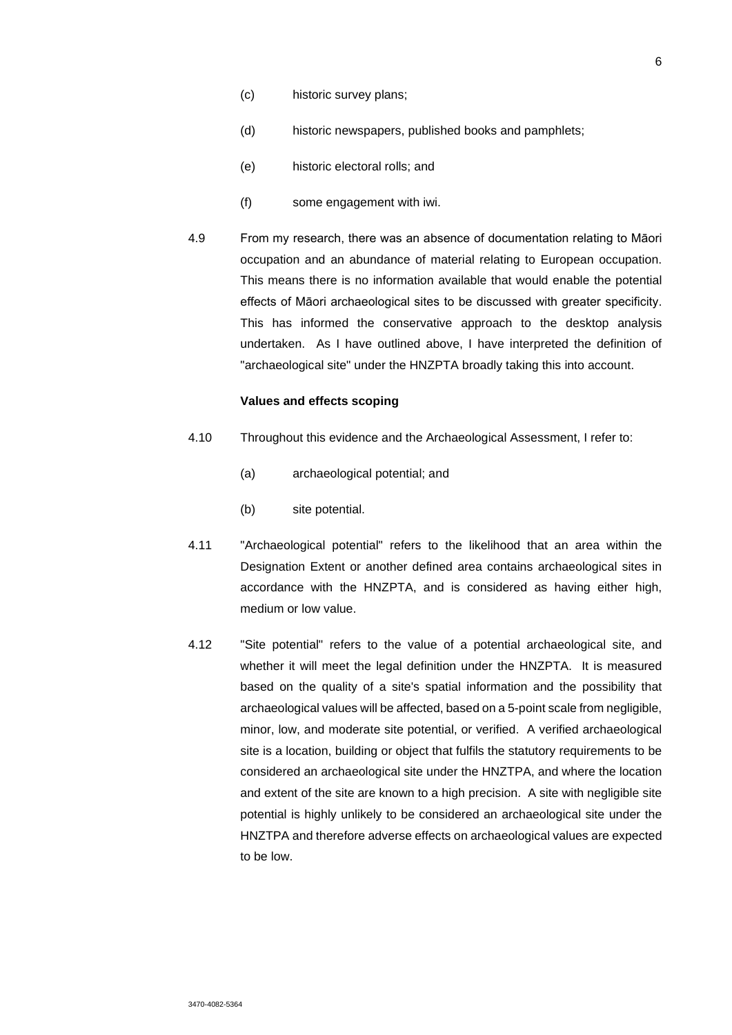- (c) historic survey plans;
- (d) historic newspapers, published books and pamphlets;
- (e) historic electoral rolls; and
- (f) some engagement with iwi.
- 4.9 From my research, there was an absence of documentation relating to Māori occupation and an abundance of material relating to European occupation. This means there is no information available that would enable the potential effects of Māori archaeological sites to be discussed with greater specificity. This has informed the conservative approach to the desktop analysis undertaken. As I have outlined above, I have interpreted the definition of "archaeological site" under the HNZPTA broadly taking this into account.

#### **Values and effects scoping**

- 4.10 Throughout this evidence and the Archaeological Assessment, I refer to:
	- (a) archaeological potential; and
	- (b) site potential.
- 4.11 "Archaeological potential" refers to the likelihood that an area within the Designation Extent or another defined area contains archaeological sites in accordance with the HNZPTA, and is considered as having either high, medium or low value.
- 4.12 "Site potential" refers to the value of a potential archaeological site, and whether it will meet the legal definition under the HNZPTA. It is measured based on the quality of a site's spatial information and the possibility that archaeological values will be affected, based on a 5-point scale from negligible, minor, low, and moderate site potential, or verified. A verified archaeological site is a location, building or object that fulfils the statutory requirements to be considered an archaeological site under the HNZTPA, and where the location and extent of the site are known to a high precision. A site with negligible site potential is highly unlikely to be considered an archaeological site under the HNZTPA and therefore adverse effects on archaeological values are expected to be low.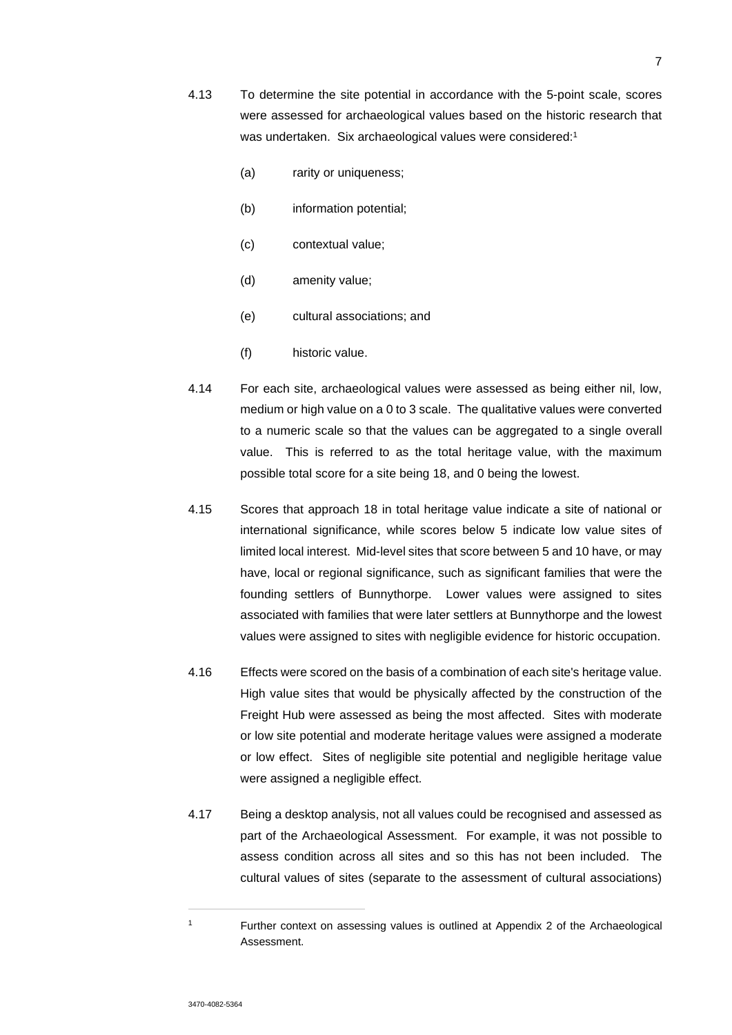- 4.13 To determine the site potential in accordance with the 5-point scale, scores were assessed for archaeological values based on the historic research that was undertaken. Six archaeological values were considered:1
	- (a) rarity or uniqueness;
	- (b) information potential;
	- (c) contextual value;
	- (d) amenity value;
	- (e) cultural associations; and
	- (f) historic value.
- 4.14 For each site, archaeological values were assessed as being either nil, low, medium or high value on a 0 to 3 scale. The qualitative values were converted to a numeric scale so that the values can be aggregated to a single overall value. This is referred to as the total heritage value, with the maximum possible total score for a site being 18, and 0 being the lowest.
- 4.15 Scores that approach 18 in total heritage value indicate a site of national or international significance, while scores below 5 indicate low value sites of limited local interest. Mid-level sites that score between 5 and 10 have, or may have, local or regional significance, such as significant families that were the founding settlers of Bunnythorpe. Lower values were assigned to sites associated with families that were later settlers at Bunnythorpe and the lowest values were assigned to sites with negligible evidence for historic occupation.
- 4.16 Effects were scored on the basis of a combination of each site's heritage value. High value sites that would be physically affected by the construction of the Freight Hub were assessed as being the most affected. Sites with moderate or low site potential and moderate heritage values were assigned a moderate or low effect. Sites of negligible site potential and negligible heritage value were assigned a negligible effect.
- 4.17 Being a desktop analysis, not all values could be recognised and assessed as part of the Archaeological Assessment. For example, it was not possible to assess condition across all sites and so this has not been included. The cultural values of sites (separate to the assessment of cultural associations)

<sup>1</sup> Further context on assessing values is outlined at Appendix 2 of the Archaeological Assessment.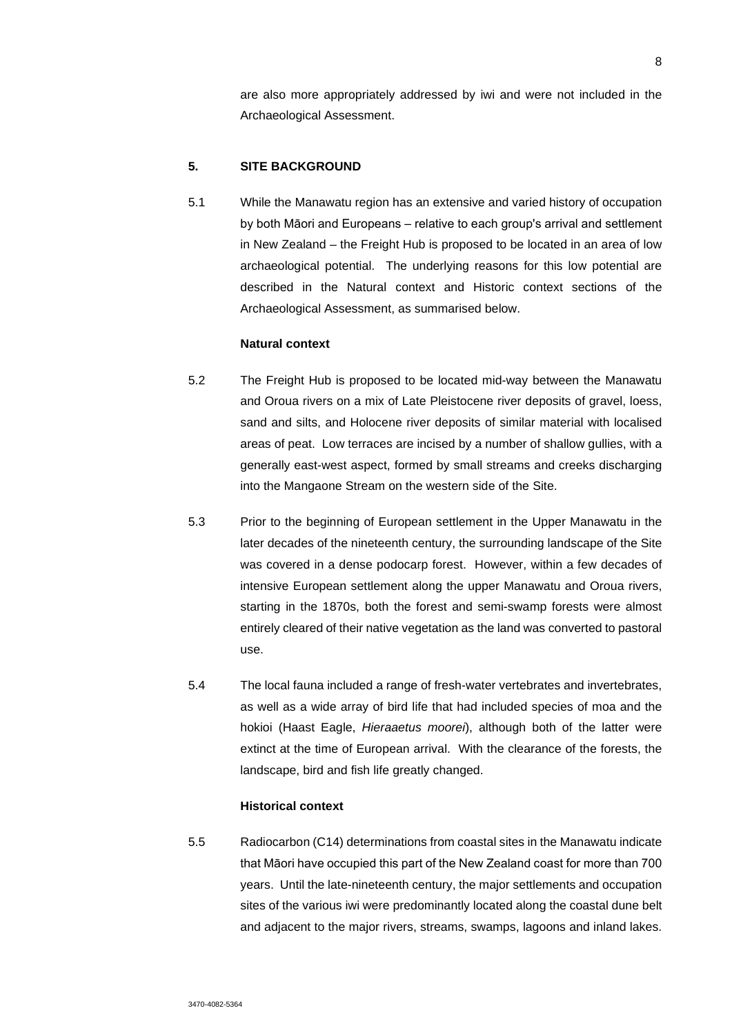are also more appropriately addressed by iwi and were not included in the Archaeological Assessment.

### **5. SITE BACKGROUND**

5.1 While the Manawatu region has an extensive and varied history of occupation by both Māori and Europeans – relative to each group's arrival and settlement in New Zealand – the Freight Hub is proposed to be located in an area of low archaeological potential. The underlying reasons for this low potential are described in the Natural context and Historic context sections of the Archaeological Assessment, as summarised below.

# **Natural context**

- 5.2 The Freight Hub is proposed to be located mid-way between the Manawatu and Oroua rivers on a mix of Late Pleistocene river deposits of gravel, loess, sand and silts, and Holocene river deposits of similar material with localised areas of peat. Low terraces are incised by a number of shallow gullies, with a generally east-west aspect, formed by small streams and creeks discharging into the Mangaone Stream on the western side of the Site.
- 5.3 Prior to the beginning of European settlement in the Upper Manawatu in the later decades of the nineteenth century, the surrounding landscape of the Site was covered in a dense podocarp forest. However, within a few decades of intensive European settlement along the upper Manawatu and Oroua rivers, starting in the 1870s, both the forest and semi-swamp forests were almost entirely cleared of their native vegetation as the land was converted to pastoral use.
- 5.4 The local fauna included a range of fresh-water vertebrates and invertebrates, as well as a wide array of bird life that had included species of moa and the hokioi (Haast Eagle, *Hieraaetus moorei*), although both of the latter were extinct at the time of European arrival. With the clearance of the forests, the landscape, bird and fish life greatly changed.

### **Historical context**

5.5 Radiocarbon (C14) determinations from coastal sites in the Manawatu indicate that Māori have occupied this part of the New Zealand coast for more than 700 years. Until the late-nineteenth century, the major settlements and occupation sites of the various iwi were predominantly located along the coastal dune belt and adjacent to the major rivers, streams, swamps, lagoons and inland lakes.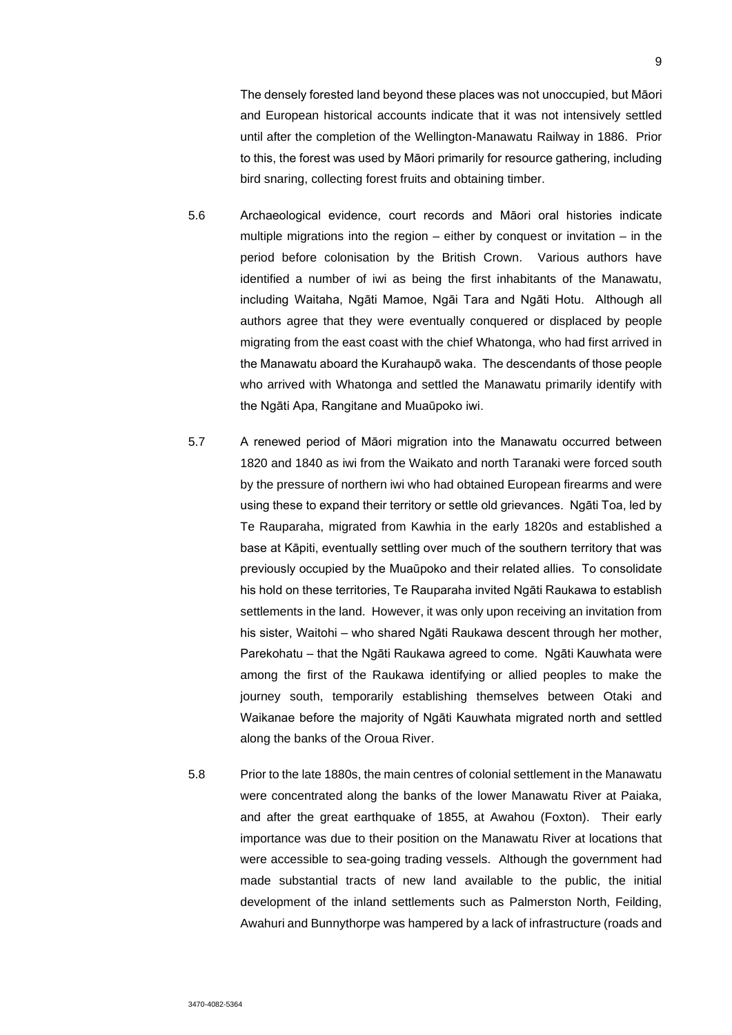The densely forested land beyond these places was not unoccupied, but Māori and European historical accounts indicate that it was not intensively settled until after the completion of the Wellington-Manawatu Railway in 1886. Prior to this, the forest was used by Māori primarily for resource gathering, including bird snaring, collecting forest fruits and obtaining timber.

- 5.6 Archaeological evidence, court records and Māori oral histories indicate multiple migrations into the region  $-$  either by conquest or invitation  $-$  in the period before colonisation by the British Crown. Various authors have identified a number of iwi as being the first inhabitants of the Manawatu, including Waitaha, Ngāti Mamoe, Ngāi Tara and Ngāti Hotu. Although all authors agree that they were eventually conquered or displaced by people migrating from the east coast with the chief Whatonga, who had first arrived in the Manawatu aboard the Kurahaupō waka. The descendants of those people who arrived with Whatonga and settled the Manawatu primarily identify with the Ngāti Apa, Rangitane and Muaūpoko iwi.
- 5.7 A renewed period of Māori migration into the Manawatu occurred between 1820 and 1840 as iwi from the Waikato and north Taranaki were forced south by the pressure of northern iwi who had obtained European firearms and were using these to expand their territory or settle old grievances. Ngāti Toa, led by Te Rauparaha, migrated from Kawhia in the early 1820s and established a base at Kāpiti, eventually settling over much of the southern territory that was previously occupied by the Muaūpoko and their related allies. To consolidate his hold on these territories, Te Rauparaha invited Ngāti Raukawa to establish settlements in the land. However, it was only upon receiving an invitation from his sister, Waitohi – who shared Ngāti Raukawa descent through her mother, Parekohatu – that the Ngāti Raukawa agreed to come. Ngāti Kauwhata were among the first of the Raukawa identifying or allied peoples to make the journey south, temporarily establishing themselves between Otaki and Waikanae before the majority of Ngāti Kauwhata migrated north and settled along the banks of the Oroua River.
- 5.8 Prior to the late 1880s, the main centres of colonial settlement in the Manawatu were concentrated along the banks of the lower Manawatu River at Paiaka, and after the great earthquake of 1855, at Awahou (Foxton). Their early importance was due to their position on the Manawatu River at locations that were accessible to sea-going trading vessels. Although the government had made substantial tracts of new land available to the public, the initial development of the inland settlements such as Palmerston North, Feilding, Awahuri and Bunnythorpe was hampered by a lack of infrastructure (roads and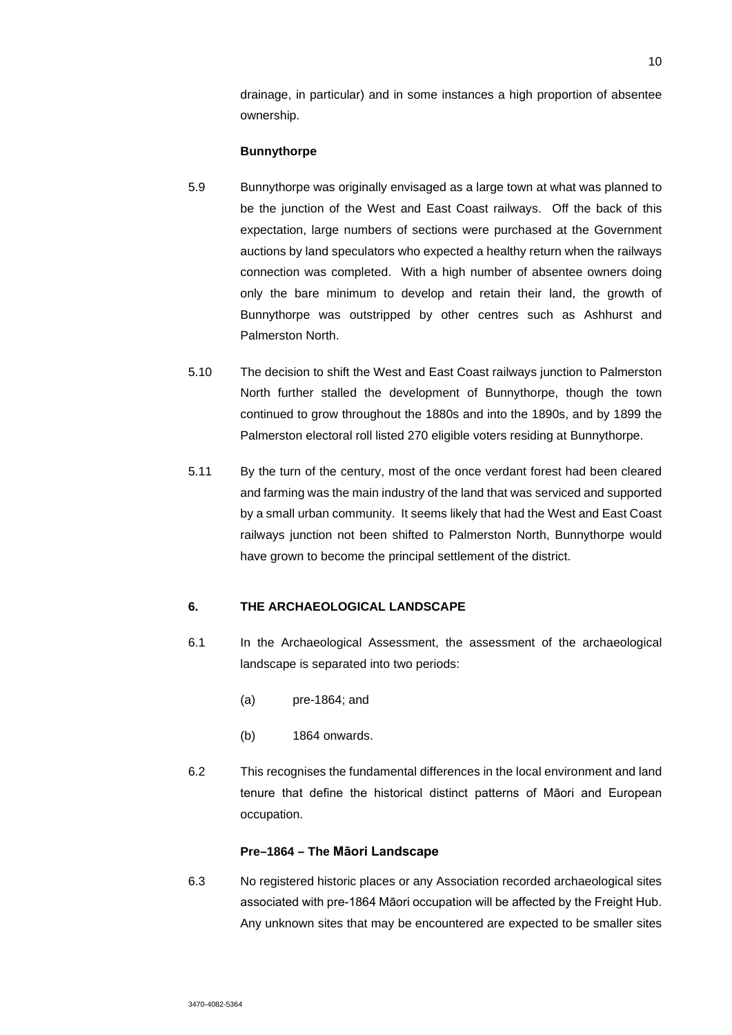drainage, in particular) and in some instances a high proportion of absentee ownership.

### **Bunnythorpe**

- 5.9 Bunnythorpe was originally envisaged as a large town at what was planned to be the junction of the West and East Coast railways. Off the back of this expectation, large numbers of sections were purchased at the Government auctions by land speculators who expected a healthy return when the railways connection was completed. With a high number of absentee owners doing only the bare minimum to develop and retain their land, the growth of Bunnythorpe was outstripped by other centres such as Ashhurst and Palmerston North.
- 5.10 The decision to shift the West and East Coast railways junction to Palmerston North further stalled the development of Bunnythorpe, though the town continued to grow throughout the 1880s and into the 1890s, and by 1899 the Palmerston electoral roll listed 270 eligible voters residing at Bunnythorpe.
- 5.11 By the turn of the century, most of the once verdant forest had been cleared and farming was the main industry of the land that was serviced and supported by a small urban community. It seems likely that had the West and East Coast railways junction not been shifted to Palmerston North, Bunnythorpe would have grown to become the principal settlement of the district.

# **6. THE ARCHAEOLOGICAL LANDSCAPE**

- 6.1 In the Archaeological Assessment, the assessment of the archaeological landscape is separated into two periods:
	- (a) pre-1864; and
	- (b) 1864 onwards.
- 6.2 This recognises the fundamental differences in the local environment and land tenure that define the historical distinct patterns of Māori and European occupation.

# **Pre–1864 – The Māori Landscape**

6.3 No registered historic places or any Association recorded archaeological sites associated with pre-1864 Māori occupation will be affected by the Freight Hub. Any unknown sites that may be encountered are expected to be smaller sites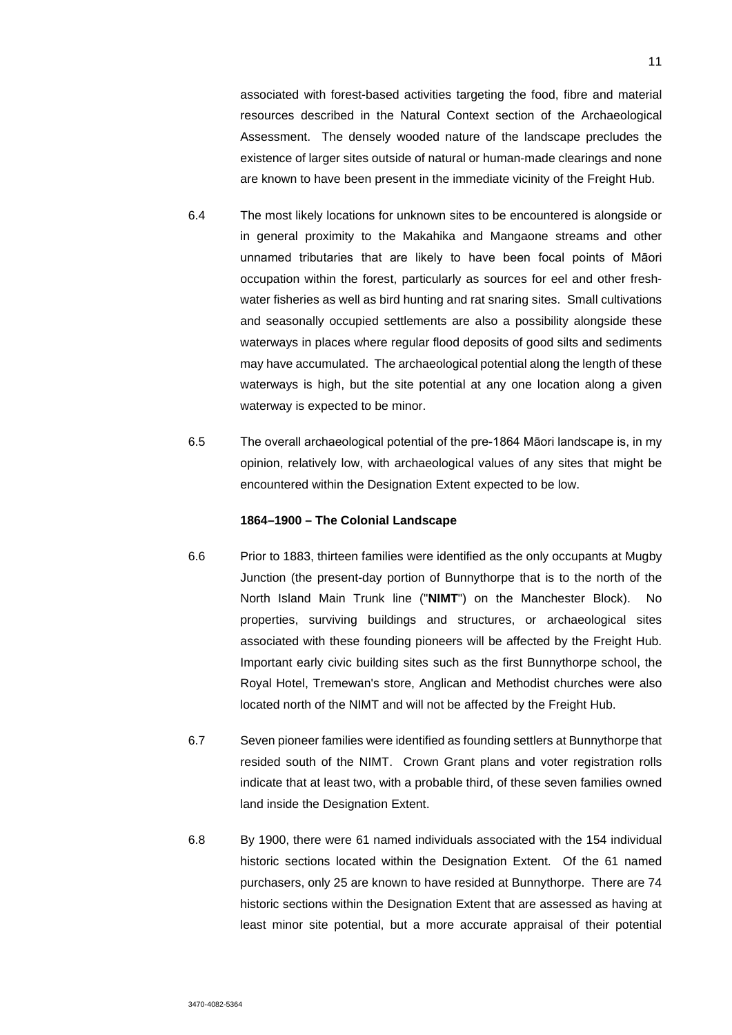associated with forest-based activities targeting the food, fibre and material resources described in the Natural Context section of the Archaeological Assessment. The densely wooded nature of the landscape precludes the existence of larger sites outside of natural or human-made clearings and none are known to have been present in the immediate vicinity of the Freight Hub.

- 6.4 The most likely locations for unknown sites to be encountered is alongside or in general proximity to the Makahika and Mangaone streams and other unnamed tributaries that are likely to have been focal points of Māori occupation within the forest, particularly as sources for eel and other freshwater fisheries as well as bird hunting and rat snaring sites. Small cultivations and seasonally occupied settlements are also a possibility alongside these waterways in places where regular flood deposits of good silts and sediments may have accumulated. The archaeological potential along the length of these waterways is high, but the site potential at any one location along a given waterway is expected to be minor.
- 6.5 The overall archaeological potential of the pre-1864 Māori landscape is, in my opinion, relatively low, with archaeological values of any sites that might be encountered within the Designation Extent expected to be low.

#### **1864–1900 – The Colonial Landscape**

- 6.6 Prior to 1883, thirteen families were identified as the only occupants at Mugby Junction (the present-day portion of Bunnythorpe that is to the north of the North Island Main Trunk line ("**NIMT**") on the Manchester Block). No properties, surviving buildings and structures, or archaeological sites associated with these founding pioneers will be affected by the Freight Hub. Important early civic building sites such as the first Bunnythorpe school, the Royal Hotel, Tremewan's store, Anglican and Methodist churches were also located north of the NIMT and will not be affected by the Freight Hub.
- 6.7 Seven pioneer families were identified as founding settlers at Bunnythorpe that resided south of the NIMT. Crown Grant plans and voter registration rolls indicate that at least two, with a probable third, of these seven families owned land inside the Designation Extent.
- 6.8 By 1900, there were 61 named individuals associated with the 154 individual historic sections located within the Designation Extent. Of the 61 named purchasers, only 25 are known to have resided at Bunnythorpe. There are 74 historic sections within the Designation Extent that are assessed as having at least minor site potential, but a more accurate appraisal of their potential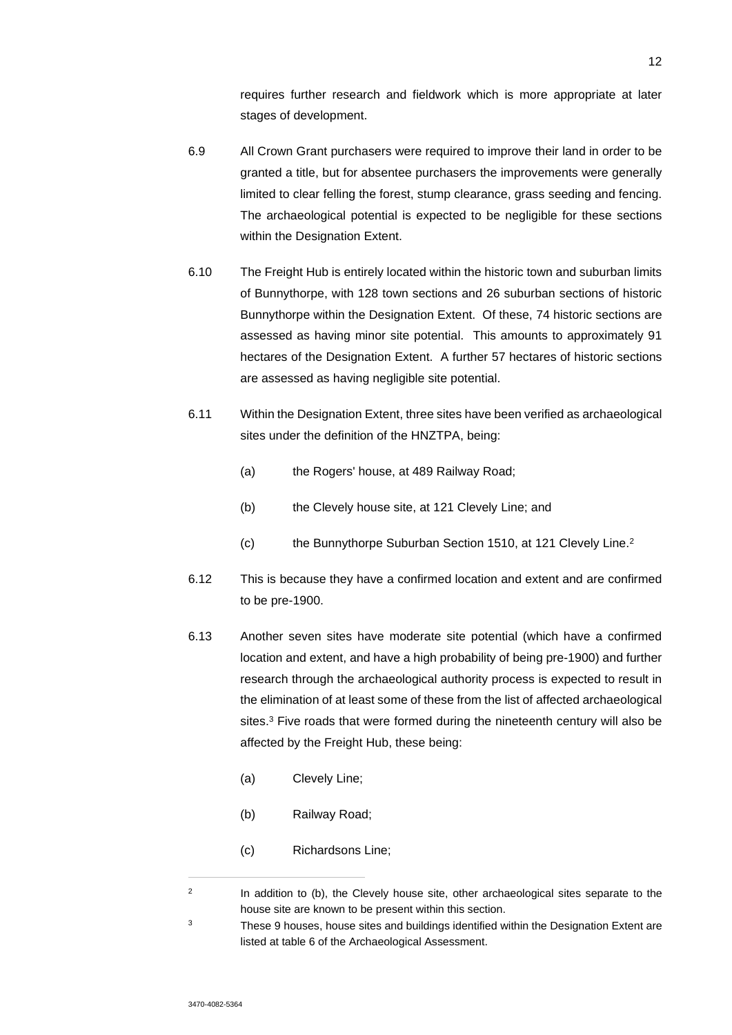requires further research and fieldwork which is more appropriate at later stages of development.

- 6.9 All Crown Grant purchasers were required to improve their land in order to be granted a title, but for absentee purchasers the improvements were generally limited to clear felling the forest, stump clearance, grass seeding and fencing. The archaeological potential is expected to be negligible for these sections within the Designation Extent.
- 6.10 The Freight Hub is entirely located within the historic town and suburban limits of Bunnythorpe, with 128 town sections and 26 suburban sections of historic Bunnythorpe within the Designation Extent. Of these, 74 historic sections are assessed as having minor site potential. This amounts to approximately 91 hectares of the Designation Extent. A further 57 hectares of historic sections are assessed as having negligible site potential.
- 6.11 Within the Designation Extent, three sites have been verified as archaeological sites under the definition of the HNZTPA, being:
	- (a) the Rogers' house, at 489 Railway Road;
	- (b) the Clevely house site, at 121 Clevely Line; and
	- (c) the Bunnythorpe Suburban Section 1510, at 121 Clevely Line.<sup>2</sup>
- 6.12 This is because they have a confirmed location and extent and are confirmed to be pre-1900.
- 6.13 Another seven sites have moderate site potential (which have a confirmed location and extent, and have a high probability of being pre-1900) and further research through the archaeological authority process is expected to result in the elimination of at least some of these from the list of affected archaeological sites.<sup>3</sup> Five roads that were formed during the nineteenth century will also be affected by the Freight Hub, these being:
	- (a) Clevely Line;
	- (b) Railway Road;
	- (c) Richardsons Line;

<sup>2</sup> In addition to (b), the Clevely house site, other archaeological sites separate to the house site are known to be present within this section.

<sup>&</sup>lt;sup>3</sup> These 9 houses, house sites and buildings identified within the Designation Extent are listed at table 6 of the Archaeological Assessment.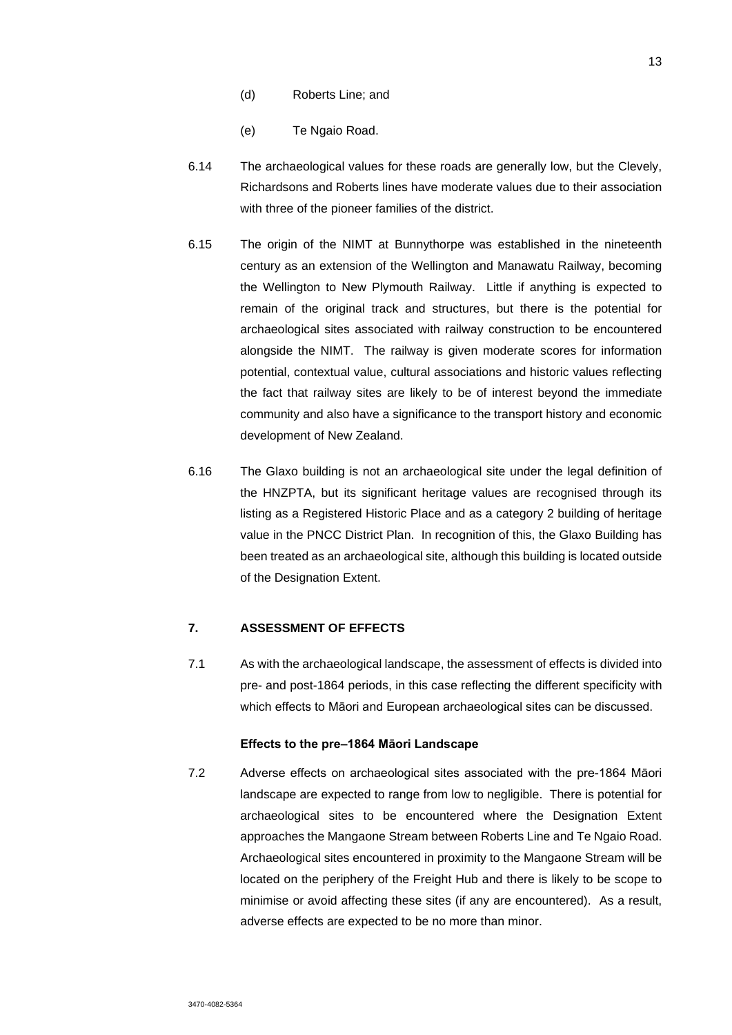- (d) Roberts Line; and
- (e) Te Ngaio Road.
- 6.14 The archaeological values for these roads are generally low, but the Clevely, Richardsons and Roberts lines have moderate values due to their association with three of the pioneer families of the district.
- 6.15 The origin of the NIMT at Bunnythorpe was established in the nineteenth century as an extension of the Wellington and Manawatu Railway, becoming the Wellington to New Plymouth Railway. Little if anything is expected to remain of the original track and structures, but there is the potential for archaeological sites associated with railway construction to be encountered alongside the NIMT. The railway is given moderate scores for information potential, contextual value, cultural associations and historic values reflecting the fact that railway sites are likely to be of interest beyond the immediate community and also have a significance to the transport history and economic development of New Zealand.
- 6.16 The Glaxo building is not an archaeological site under the legal definition of the HNZPTA, but its significant heritage values are recognised through its listing as a Registered Historic Place and as a category 2 building of heritage value in the PNCC District Plan. In recognition of this, the Glaxo Building has been treated as an archaeological site, although this building is located outside of the Designation Extent.

# **7. ASSESSMENT OF EFFECTS**

7.1 As with the archaeological landscape, the assessment of effects is divided into pre- and post-1864 periods, in this case reflecting the different specificity with which effects to Māori and European archaeological sites can be discussed.

#### **Effects to the pre–1864 Māori Landscape**

7.2 Adverse effects on archaeological sites associated with the pre-1864 Māori landscape are expected to range from low to negligible. There is potential for archaeological sites to be encountered where the Designation Extent approaches the Mangaone Stream between Roberts Line and Te Ngaio Road. Archaeological sites encountered in proximity to the Mangaone Stream will be located on the periphery of the Freight Hub and there is likely to be scope to minimise or avoid affecting these sites (if any are encountered). As a result, adverse effects are expected to be no more than minor.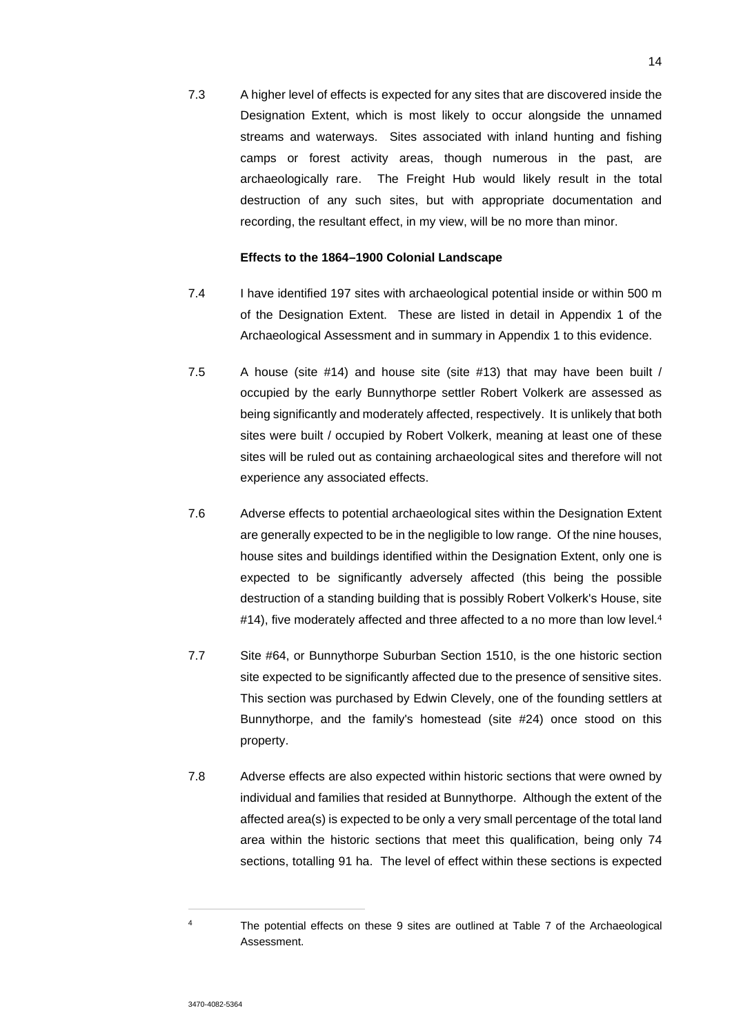7.3 A higher level of effects is expected for any sites that are discovered inside the Designation Extent, which is most likely to occur alongside the unnamed streams and waterways. Sites associated with inland hunting and fishing camps or forest activity areas, though numerous in the past, are archaeologically rare. The Freight Hub would likely result in the total destruction of any such sites, but with appropriate documentation and recording, the resultant effect, in my view, will be no more than minor.

### **Effects to the 1864–1900 Colonial Landscape**

- 7.4 I have identified 197 sites with archaeological potential inside or within 500 m of the Designation Extent. These are listed in detail in Appendix 1 of the Archaeological Assessment and in summary in Appendix 1 to this evidence.
- 7.5 A house (site #14) and house site (site #13) that may have been built / occupied by the early Bunnythorpe settler Robert Volkerk are assessed as being significantly and moderately affected, respectively. It is unlikely that both sites were built / occupied by Robert Volkerk, meaning at least one of these sites will be ruled out as containing archaeological sites and therefore will not experience any associated effects.
- 7.6 Adverse effects to potential archaeological sites within the Designation Extent are generally expected to be in the negligible to low range. Of the nine houses, house sites and buildings identified within the Designation Extent, only one is expected to be significantly adversely affected (this being the possible destruction of a standing building that is possibly Robert Volkerk's House, site #14), five moderately affected and three affected to a no more than low level.<sup>4</sup>
- 7.7 Site #64, or Bunnythorpe Suburban Section 1510, is the one historic section site expected to be significantly affected due to the presence of sensitive sites. This section was purchased by Edwin Clevely, one of the founding settlers at Bunnythorpe, and the family's homestead (site #24) once stood on this property.
- 7.8 Adverse effects are also expected within historic sections that were owned by individual and families that resided at Bunnythorpe. Although the extent of the affected area(s) is expected to be only a very small percentage of the total land area within the historic sections that meet this qualification, being only 74 sections, totalling 91 ha. The level of effect within these sections is expected

<sup>4</sup> The potential effects on these 9 sites are outlined at Table 7 of the Archaeological Assessment.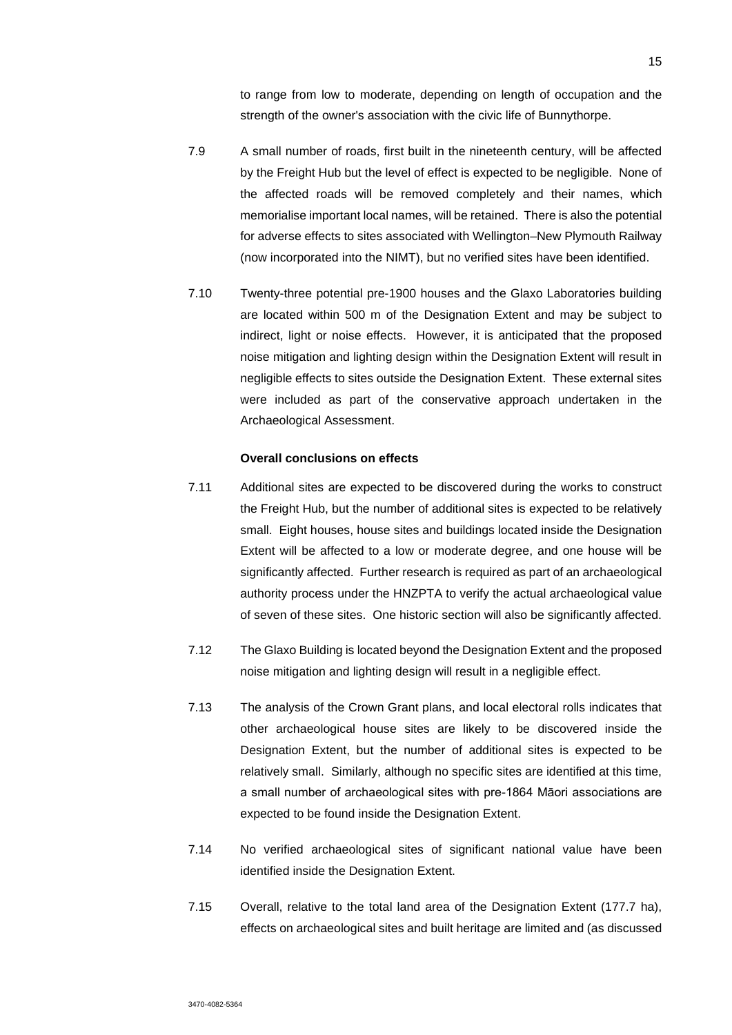to range from low to moderate, depending on length of occupation and the strength of the owner's association with the civic life of Bunnythorpe.

- 7.9 A small number of roads, first built in the nineteenth century, will be affected by the Freight Hub but the level of effect is expected to be negligible. None of the affected roads will be removed completely and their names, which memorialise important local names, will be retained. There is also the potential for adverse effects to sites associated with Wellington–New Plymouth Railway (now incorporated into the NIMT), but no verified sites have been identified.
- 7.10 Twenty-three potential pre-1900 houses and the Glaxo Laboratories building are located within 500 m of the Designation Extent and may be subject to indirect, light or noise effects. However, it is anticipated that the proposed noise mitigation and lighting design within the Designation Extent will result in negligible effects to sites outside the Designation Extent. These external sites were included as part of the conservative approach undertaken in the Archaeological Assessment.

### **Overall conclusions on effects**

- 7.11 Additional sites are expected to be discovered during the works to construct the Freight Hub, but the number of additional sites is expected to be relatively small. Eight houses, house sites and buildings located inside the Designation Extent will be affected to a low or moderate degree, and one house will be significantly affected. Further research is required as part of an archaeological authority process under the HNZPTA to verify the actual archaeological value of seven of these sites. One historic section will also be significantly affected.
- 7.12 The Glaxo Building is located beyond the Designation Extent and the proposed noise mitigation and lighting design will result in a negligible effect.
- 7.13 The analysis of the Crown Grant plans, and local electoral rolls indicates that other archaeological house sites are likely to be discovered inside the Designation Extent, but the number of additional sites is expected to be relatively small. Similarly, although no specific sites are identified at this time, a small number of archaeological sites with pre-1864 Māori associations are expected to be found inside the Designation Extent.
- 7.14 No verified archaeological sites of significant national value have been identified inside the Designation Extent.
- 7.15 Overall, relative to the total land area of the Designation Extent (177.7 ha), effects on archaeological sites and built heritage are limited and (as discussed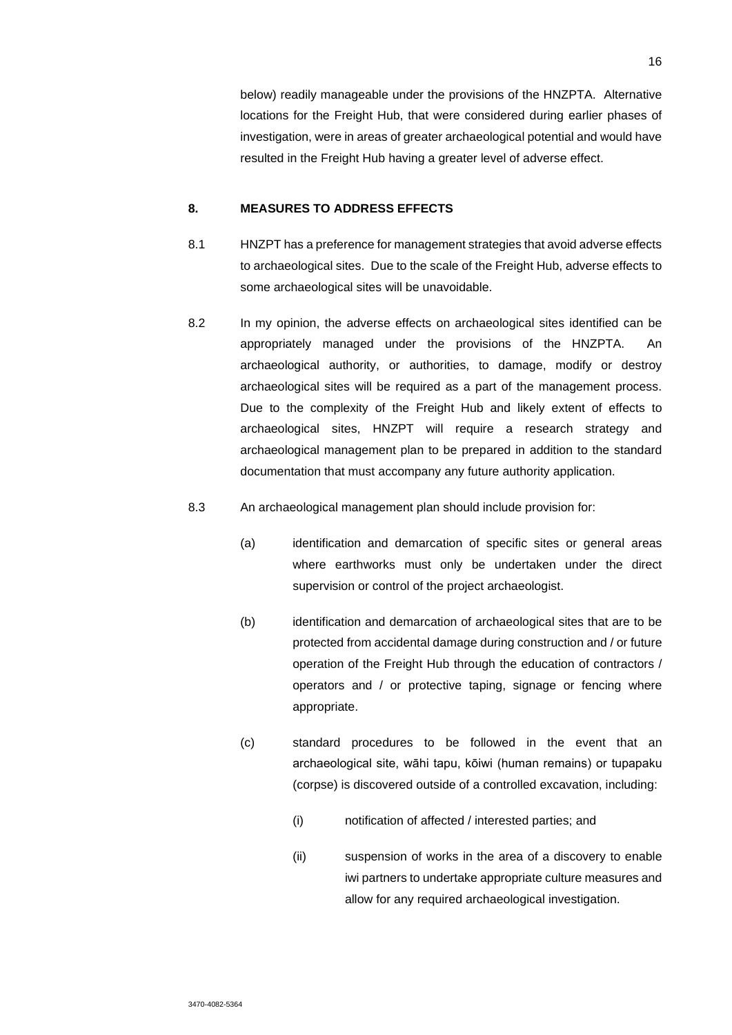below) readily manageable under the provisions of the HNZPTA. Alternative locations for the Freight Hub, that were considered during earlier phases of investigation, were in areas of greater archaeological potential and would have resulted in the Freight Hub having a greater level of adverse effect.

# **8. MEASURES TO ADDRESS EFFECTS**

- 8.1 HNZPT has a preference for management strategies that avoid adverse effects to archaeological sites. Due to the scale of the Freight Hub, adverse effects to some archaeological sites will be unavoidable.
- 8.2 In my opinion, the adverse effects on archaeological sites identified can be appropriately managed under the provisions of the HNZPTA. An archaeological authority, or authorities, to damage, modify or destroy archaeological sites will be required as a part of the management process. Due to the complexity of the Freight Hub and likely extent of effects to archaeological sites, HNZPT will require a research strategy and archaeological management plan to be prepared in addition to the standard documentation that must accompany any future authority application.
- 8.3 An archaeological management plan should include provision for:
	- (a) identification and demarcation of specific sites or general areas where earthworks must only be undertaken under the direct supervision or control of the project archaeologist.
	- (b) identification and demarcation of archaeological sites that are to be protected from accidental damage during construction and / or future operation of the Freight Hub through the education of contractors / operators and / or protective taping, signage or fencing where appropriate.
	- (c) standard procedures to be followed in the event that an archaeological site, wāhi tapu, kōiwi (human remains) or tupapaku (corpse) is discovered outside of a controlled excavation, including:
		- (i) notification of affected / interested parties; and
		- (ii) suspension of works in the area of a discovery to enable iwi partners to undertake appropriate culture measures and allow for any required archaeological investigation.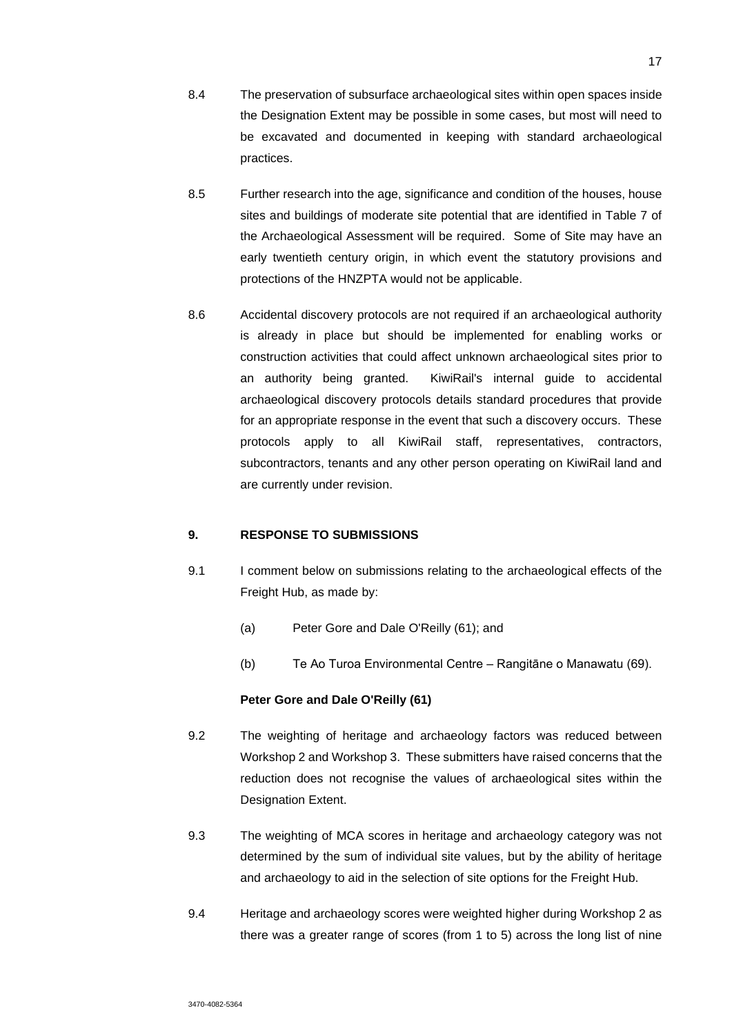- 8.4 The preservation of subsurface archaeological sites within open spaces inside the Designation Extent may be possible in some cases, but most will need to be excavated and documented in keeping with standard archaeological practices.
- 8.5 Further research into the age, significance and condition of the houses, house sites and buildings of moderate site potential that are identified in Table 7 of the Archaeological Assessment will be required. Some of Site may have an early twentieth century origin, in which event the statutory provisions and protections of the HNZPTA would not be applicable.
- 8.6 Accidental discovery protocols are not required if an archaeological authority is already in place but should be implemented for enabling works or construction activities that could affect unknown archaeological sites prior to an authority being granted. KiwiRail's internal guide to accidental archaeological discovery protocols details standard procedures that provide for an appropriate response in the event that such a discovery occurs. These protocols apply to all KiwiRail staff, representatives, contractors, subcontractors, tenants and any other person operating on KiwiRail land and are currently under revision.

### **9. RESPONSE TO SUBMISSIONS**

- 9.1 I comment below on submissions relating to the archaeological effects of the Freight Hub, as made by:
	- (a) Peter Gore and Dale O'Reilly (61); and
	- (b) Te Ao Turoa Environmental Centre Rangitāne o Manawatu (69).

### **Peter Gore and Dale O'Reilly (61)**

- 9.2 The weighting of heritage and archaeology factors was reduced between Workshop 2 and Workshop 3. These submitters have raised concerns that the reduction does not recognise the values of archaeological sites within the Designation Extent.
- 9.3 The weighting of MCA scores in heritage and archaeology category was not determined by the sum of individual site values, but by the ability of heritage and archaeology to aid in the selection of site options for the Freight Hub.
- 9.4 Heritage and archaeology scores were weighted higher during Workshop 2 as there was a greater range of scores (from 1 to 5) across the long list of nine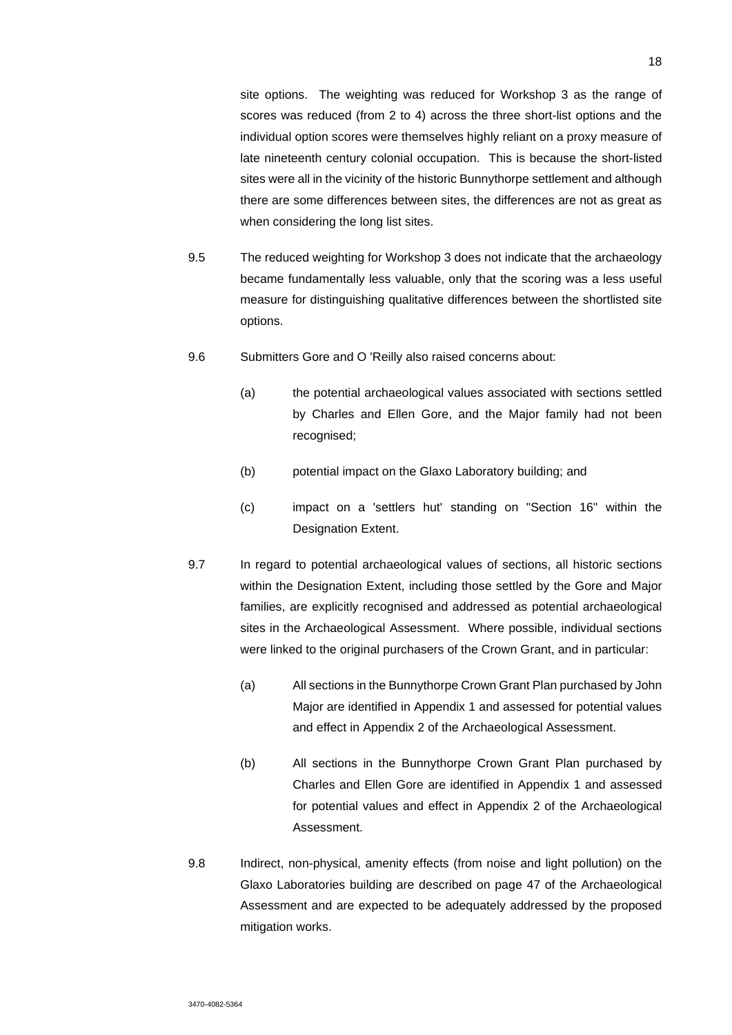site options. The weighting was reduced for Workshop 3 as the range of scores was reduced (from 2 to 4) across the three short-list options and the individual option scores were themselves highly reliant on a proxy measure of late nineteenth century colonial occupation. This is because the short-listed sites were all in the vicinity of the historic Bunnythorpe settlement and although there are some differences between sites, the differences are not as great as when considering the long list sites.

- 9.5 The reduced weighting for Workshop 3 does not indicate that the archaeology became fundamentally less valuable, only that the scoring was a less useful measure for distinguishing qualitative differences between the shortlisted site options.
- 9.6 Submitters Gore and O 'Reilly also raised concerns about:
	- (a) the potential archaeological values associated with sections settled by Charles and Ellen Gore, and the Major family had not been recognised;
	- (b) potential impact on the Glaxo Laboratory building; and
	- (c) impact on a 'settlers hut' standing on "Section 16" within the Designation Extent.
- 9.7 In regard to potential archaeological values of sections, all historic sections within the Designation Extent, including those settled by the Gore and Major families, are explicitly recognised and addressed as potential archaeological sites in the Archaeological Assessment. Where possible, individual sections were linked to the original purchasers of the Crown Grant, and in particular:
	- (a) All sections in the Bunnythorpe Crown Grant Plan purchased by John Major are identified in Appendix 1 and assessed for potential values and effect in Appendix 2 of the Archaeological Assessment.
	- (b) All sections in the Bunnythorpe Crown Grant Plan purchased by Charles and Ellen Gore are identified in Appendix 1 and assessed for potential values and effect in Appendix 2 of the Archaeological Assessment.
- 9.8 Indirect, non-physical, amenity effects (from noise and light pollution) on the Glaxo Laboratories building are described on page 47 of the Archaeological Assessment and are expected to be adequately addressed by the proposed mitigation works.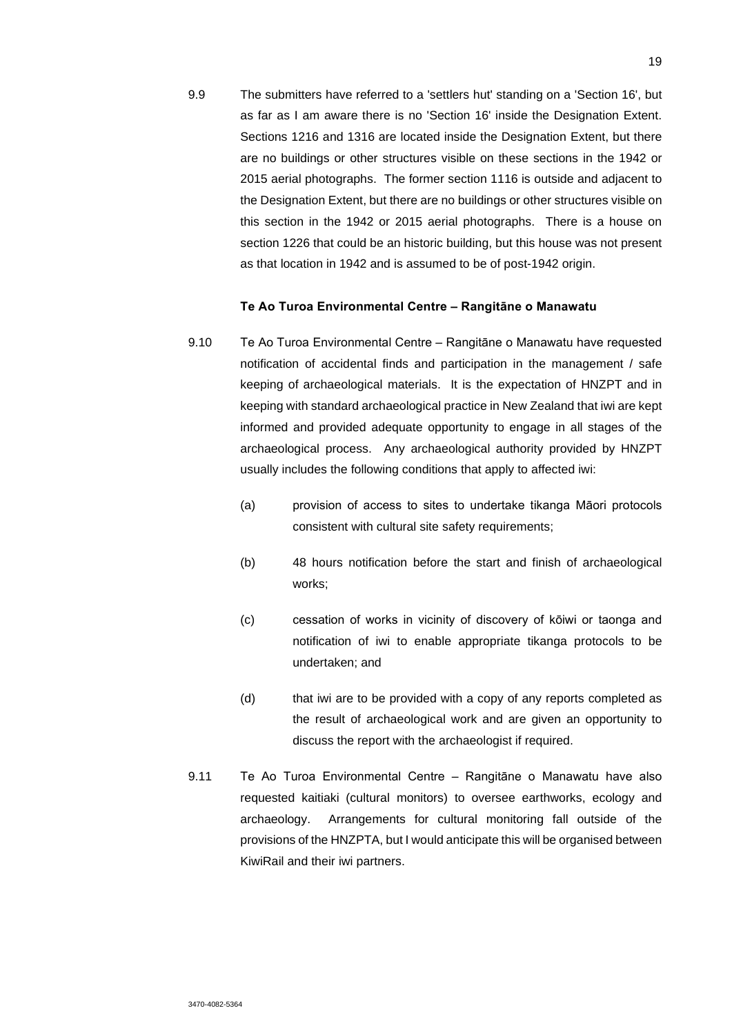9.9 The submitters have referred to a 'settlers hut' standing on a 'Section 16', but as far as I am aware there is no 'Section 16' inside the Designation Extent. Sections 1216 and 1316 are located inside the Designation Extent, but there are no buildings or other structures visible on these sections in the 1942 or 2015 aerial photographs. The former section 1116 is outside and adjacent to the Designation Extent, but there are no buildings or other structures visible on this section in the 1942 or 2015 aerial photographs. There is a house on section 1226 that could be an historic building, but this house was not present as that location in 1942 and is assumed to be of post-1942 origin.

### **Te Ao Turoa Environmental Centre – Rangitāne o Manawatu**

- 9.10 Te Ao Turoa Environmental Centre Rangitāne o Manawatu have requested notification of accidental finds and participation in the management / safe keeping of archaeological materials. It is the expectation of HNZPT and in keeping with standard archaeological practice in New Zealand that iwi are kept informed and provided adequate opportunity to engage in all stages of the archaeological process. Any archaeological authority provided by HNZPT usually includes the following conditions that apply to affected iwi:
	- (a) provision of access to sites to undertake tikanga Māori protocols consistent with cultural site safety requirements;
	- (b) 48 hours notification before the start and finish of archaeological works;
	- (c) cessation of works in vicinity of discovery of kōiwi or taonga and notification of iwi to enable appropriate tikanga protocols to be undertaken; and
	- (d) that iwi are to be provided with a copy of any reports completed as the result of archaeological work and are given an opportunity to discuss the report with the archaeologist if required.
- 9.11 Te Ao Turoa Environmental Centre Rangitāne o Manawatu have also requested kaitiaki (cultural monitors) to oversee earthworks, ecology and archaeology. Arrangements for cultural monitoring fall outside of the provisions of the HNZPTA, but I would anticipate this will be organised between KiwiRail and their iwi partners.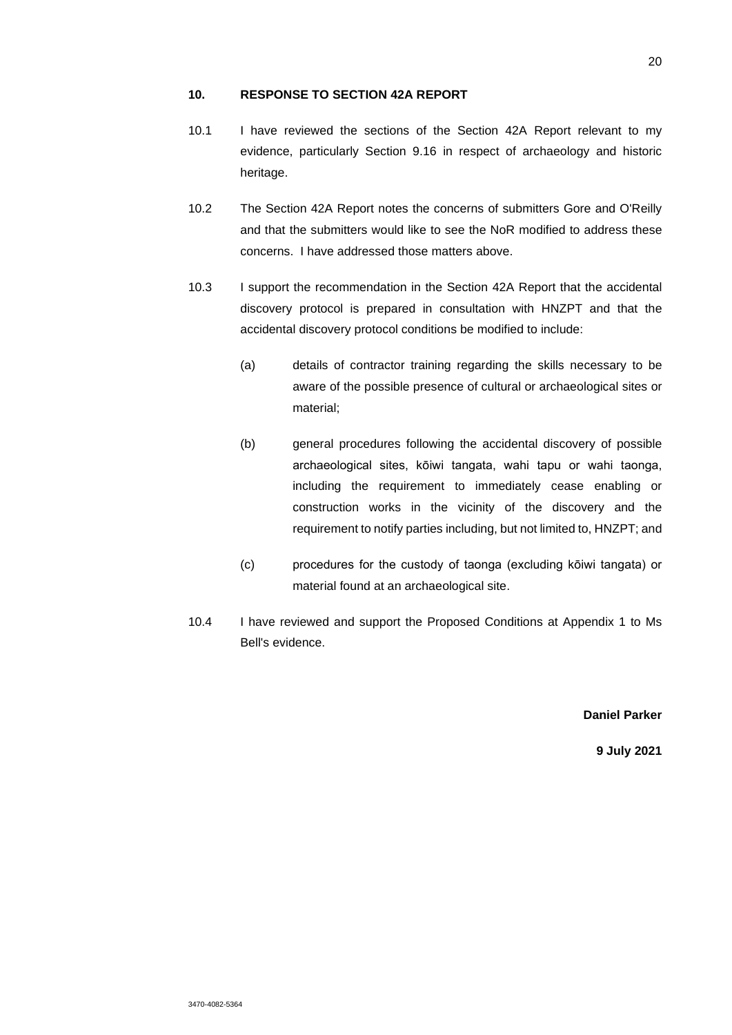### **10. RESPONSE TO SECTION 42A REPORT**

- 10.1 I have reviewed the sections of the Section 42A Report relevant to my evidence, particularly Section 9.16 in respect of archaeology and historic heritage.
- 10.2 The Section 42A Report notes the concerns of submitters Gore and O'Reilly and that the submitters would like to see the NoR modified to address these concerns. I have addressed those matters above.
- 10.3 I support the recommendation in the Section 42A Report that the accidental discovery protocol is prepared in consultation with HNZPT and that the accidental discovery protocol conditions be modified to include:
	- (a) details of contractor training regarding the skills necessary to be aware of the possible presence of cultural or archaeological sites or material;
	- (b) general procedures following the accidental discovery of possible archaeological sites, kōiwi tangata, wahi tapu or wahi taonga, including the requirement to immediately cease enabling or construction works in the vicinity of the discovery and the requirement to notify parties including, but not limited to, HNZPT; and
	- (c) procedures for the custody of taonga (excluding kōiwi tangata) or material found at an archaeological site.
- 10.4 I have reviewed and support the Proposed Conditions at Appendix 1 to Ms Bell's evidence.

**Daniel Parker** 

**9 July 2021**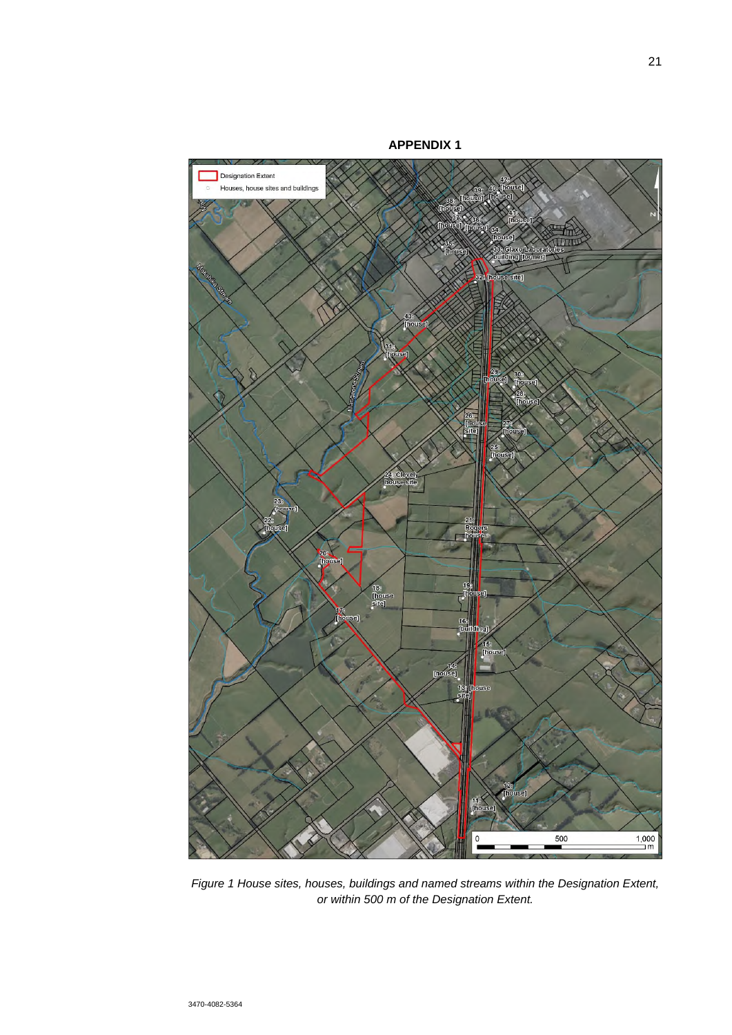

*Figure 1 House sites, houses, buildings and named streams within the Designation Extent, or within 500 m of the Designation Extent.*